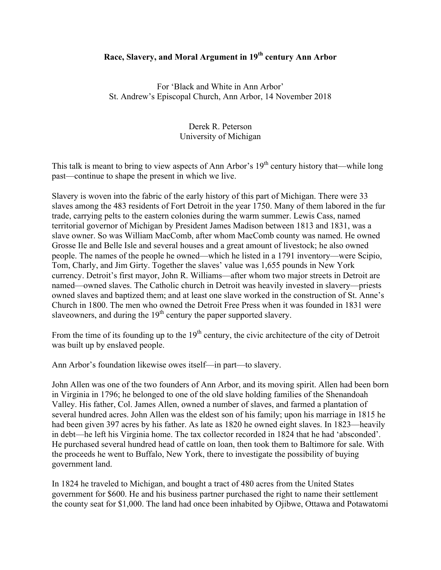## **Race, Slavery, and Moral Argument in 19th century Ann Arbor**

For 'Black and White in Ann Arbor' St. Andrew's Episcopal Church, Ann Arbor, 14 November 2018

## Derek R. Peterson University of Michigan

This talk is meant to bring to view aspects of Ann Arbor's  $19<sup>th</sup>$  century history that—while long past—continue to shape the present in which we live.

Slavery is woven into the fabric of the early history of this part of Michigan. There were 33 slaves among the 483 residents of Fort Detroit in the year 1750. Many of them labored in the fur trade, carrying pelts to the eastern colonies during the warm summer. Lewis Cass, named territorial governor of Michigan by President James Madison between 1813 and 1831, was a slave owner. So was William MacComb, after whom MacComb county was named. He owned Grosse Ile and Belle Isle and several houses and a great amount of livestock; he also owned people. The names of the people he owned—which he listed in a 1791 inventory—were Scipio, Tom, Charly, and Jim Girty. Together the slaves' value was 1,655 pounds in New York currency. Detroit's first mayor, John R. Williams—after whom two major streets in Detroit are named—owned slaves. The Catholic church in Detroit was heavily invested in slavery—priests owned slaves and baptized them; and at least one slave worked in the construction of St. Anne's Church in 1800. The men who owned the Detroit Free Press when it was founded in 1831 were slaveowners, and during the 19<sup>th</sup> century the paper supported slavery.

From the time of its founding up to the  $19<sup>th</sup>$  century, the civic architecture of the city of Detroit was built up by enslaved people.

Ann Arbor's foundation likewise owes itself—in part—to slavery.

John Allen was one of the two founders of Ann Arbor, and its moving spirit. Allen had been born in Virginia in 1796; he belonged to one of the old slave holding families of the Shenandoah Valley. His father, Col. James Allen, owned a number of slaves, and farmed a plantation of several hundred acres. John Allen was the eldest son of his family; upon his marriage in 1815 he had been given 397 acres by his father. As late as 1820 he owned eight slaves. In 1823—heavily in debt—he left his Virginia home. The tax collector recorded in 1824 that he had 'absconded'. He purchased several hundred head of cattle on loan, then took them to Baltimore for sale. With the proceeds he went to Buffalo, New York, there to investigate the possibility of buying government land.

In 1824 he traveled to Michigan, and bought a tract of 480 acres from the United States government for \$600. He and his business partner purchased the right to name their settlement the county seat for \$1,000. The land had once been inhabited by Ojibwe, Ottawa and Potawatomi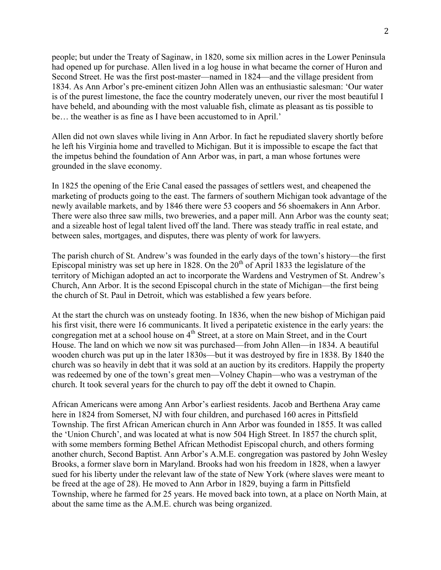people; but under the Treaty of Saginaw, in 1820, some six million acres in the Lower Peninsula had opened up for purchase. Allen lived in a log house in what became the corner of Huron and Second Street. He was the first post-master—named in 1824—and the village president from 1834. As Ann Arbor's pre-eminent citizen John Allen was an enthusiastic salesman: 'Our water is of the purest limestone, the face the country moderately uneven, our river the most beautiful I have beheld, and abounding with the most valuable fish, climate as pleasant as tis possible to be... the weather is as fine as I have been accustomed to in April.'

Allen did not own slaves while living in Ann Arbor. In fact he repudiated slavery shortly before he left his Virginia home and travelled to Michigan. But it is impossible to escape the fact that the impetus behind the foundation of Ann Arbor was, in part, a man whose fortunes were grounded in the slave economy.

In 1825 the opening of the Erie Canal eased the passages of settlers west, and cheapened the marketing of products going to the east. The farmers of southern Michigan took advantage of the newly available markets, and by 1846 there were 53 coopers and 56 shoemakers in Ann Arbor. There were also three saw mills, two breweries, and a paper mill. Ann Arbor was the county seat; and a sizeable host of legal talent lived off the land. There was steady traffic in real estate, and between sales, mortgages, and disputes, there was plenty of work for lawyers.

The parish church of St. Andrew's was founded in the early days of the town's history—the first Episcopal ministry was set up here in 1828. On the  $20<sup>th</sup>$  of April 1833 the legislature of the territory of Michigan adopted an act to incorporate the Wardens and Vestrymen of St. Andrew's Church, Ann Arbor. It is the second Episcopal church in the state of Michigan—the first being the church of St. Paul in Detroit, which was established a few years before.

At the start the church was on unsteady footing. In 1836, when the new bishop of Michigan paid his first visit, there were 16 communicants. It lived a peripatetic existence in the early years: the congregation met at a school house on 4<sup>th</sup> Street, at a store on Main Street, and in the Court House. The land on which we now sit was purchased—from John Allen—in 1834. A beautiful wooden church was put up in the later 1830s—but it was destroyed by fire in 1838. By 1840 the church was so heavily in debt that it was sold at an auction by its creditors. Happily the property was redeemed by one of the town's great men—Volney Chapin—who was a vestryman of the church. It took several years for the church to pay off the debt it owned to Chapin.

African Americans were among Ann Arbor's earliest residents. Jacob and Berthena Aray came here in 1824 from Somerset, NJ with four children, and purchased 160 acres in Pittsfield Township. The first African American church in Ann Arbor was founded in 1855. It was called the 'Union Church', and was located at what is now 504 High Street. In 1857 the church split, with some members forming Bethel African Methodist Episcopal church, and others forming another church, Second Baptist. Ann Arbor's A.M.E. congregation was pastored by John Wesley Brooks, a former slave born in Maryland. Brooks had won his freedom in 1828, when a lawyer sued for his liberty under the relevant law of the state of New York (where slaves were meant to be freed at the age of 28). He moved to Ann Arbor in 1829, buying a farm in Pittsfield Township, where he farmed for 25 years. He moved back into town, at a place on North Main, at about the same time as the A.M.E. church was being organized.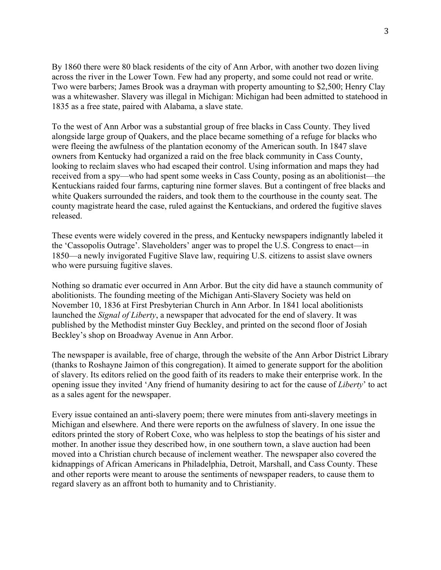By 1860 there were 80 black residents of the city of Ann Arbor, with another two dozen living across the river in the Lower Town. Few had any property, and some could not read or write. Two were barbers; James Brook was a drayman with property amounting to \$2,500; Henry Clay was a whitewasher. Slavery was illegal in Michigan: Michigan had been admitted to statehood in 1835 as a free state, paired with Alabama, a slave state.

To the west of Ann Arbor was a substantial group of free blacks in Cass County. They lived alongside large group of Quakers, and the place became something of a refuge for blacks who were fleeing the awfulness of the plantation economy of the American south. In 1847 slave owners from Kentucky had organized a raid on the free black community in Cass County, looking to reclaim slaves who had escaped their control. Using information and maps they had received from a spy—who had spent some weeks in Cass County, posing as an abolitionist—the Kentuckians raided four farms, capturing nine former slaves. But a contingent of free blacks and white Quakers surrounded the raiders, and took them to the courthouse in the county seat. The county magistrate heard the case, ruled against the Kentuckians, and ordered the fugitive slaves released.

These events were widely covered in the press, and Kentucky newspapers indignantly labeled it the 'Cassopolis Outrage'. Slaveholders' anger was to propel the U.S. Congress to enact—in 1850—a newly invigorated Fugitive Slave law, requiring U.S. citizens to assist slave owners who were pursuing fugitive slaves.

Nothing so dramatic ever occurred in Ann Arbor. But the city did have a staunch community of abolitionists. The founding meeting of the Michigan Anti-Slavery Society was held on November 10, 1836 at First Presbyterian Church in Ann Arbor. In 1841 local abolitionists launched the *Signal of Liberty*, a newspaper that advocated for the end of slavery. It was published by the Methodist minster Guy Beckley, and printed on the second floor of Josiah Beckley's shop on Broadway Avenue in Ann Arbor.

The newspaper is available, free of charge, through the website of the Ann Arbor District Library (thanks to Roshayne Jaimon of this congregation). It aimed to generate support for the abolition of slavery. Its editors relied on the good faith of its readers to make their enterprise work. In the opening issue they invited 'Any friend of humanity desiring to act for the cause of *Liberty*' to act as a sales agent for the newspaper.

Every issue contained an anti-slavery poem; there were minutes from anti-slavery meetings in Michigan and elsewhere. And there were reports on the awfulness of slavery. In one issue the editors printed the story of Robert Coxe, who was helpless to stop the beatings of his sister and mother. In another issue they described how, in one southern town, a slave auction had been moved into a Christian church because of inclement weather. The newspaper also covered the kidnappings of African Americans in Philadelphia, Detroit, Marshall, and Cass County. These and other reports were meant to arouse the sentiments of newspaper readers, to cause them to regard slavery as an affront both to humanity and to Christianity.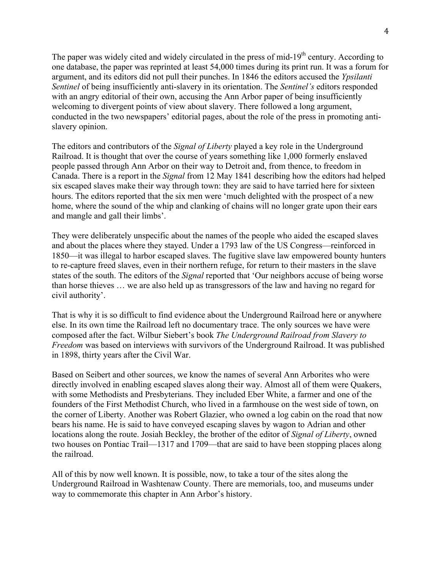The paper was widely cited and widely circulated in the press of mid-19<sup>th</sup> century. According to one database, the paper was reprinted at least 54,000 times during its print run. It was a forum for argument, and its editors did not pull their punches. In 1846 the editors accused the *Ypsilanti Sentinel* of being insufficiently anti-slavery in its orientation. The *Sentinel's* editors responded with an angry editorial of their own, accusing the Ann Arbor paper of being insufficiently welcoming to divergent points of view about slavery. There followed a long argument, conducted in the two newspapers' editorial pages, about the role of the press in promoting antislavery opinion.

The editors and contributors of the *Signal of Liberty* played a key role in the Underground Railroad. It is thought that over the course of years something like 1,000 formerly enslaved people passed through Ann Arbor on their way to Detroit and, from thence, to freedom in Canada. There is a report in the *Signal* from 12 May 1841 describing how the editors had helped six escaped slaves make their way through town: they are said to have tarried here for sixteen hours. The editors reported that the six men were 'much delighted with the prospect of a new home, where the sound of the whip and clanking of chains will no longer grate upon their ears and mangle and gall their limbs'.

They were deliberately unspecific about the names of the people who aided the escaped slaves and about the places where they stayed. Under a 1793 law of the US Congress—reinforced in 1850—it was illegal to harbor escaped slaves. The fugitive slave law empowered bounty hunters to re-capture freed slaves, even in their northern refuge, for return to their masters in the slave states of the south. The editors of the *Signal* reported that 'Our neighbors accuse of being worse than horse thieves … we are also held up as transgressors of the law and having no regard for civil authority'.

That is why it is so difficult to find evidence about the Underground Railroad here or anywhere else. In its own time the Railroad left no documentary trace. The only sources we have were composed after the fact. Wilbur Siebert's book *The Underground Railroad from Slavery to Freedom* was based on interviews with survivors of the Underground Railroad. It was published in 1898, thirty years after the Civil War.

Based on Seibert and other sources, we know the names of several Ann Arborites who were directly involved in enabling escaped slaves along their way. Almost all of them were Quakers, with some Methodists and Presbyterians. They included Eber White, a farmer and one of the founders of the First Methodist Church, who lived in a farmhouse on the west side of town, on the corner of Liberty. Another was Robert Glazier, who owned a log cabin on the road that now bears his name. He is said to have conveyed escaping slaves by wagon to Adrian and other locations along the route. Josiah Beckley, the brother of the editor of *Signal of Liberty*, owned two houses on Pontiac Trail—1317 and 1709—that are said to have been stopping places along the railroad.

All of this by now well known. It is possible, now, to take a tour of the sites along the Underground Railroad in Washtenaw County. There are memorials, too, and museums under way to commemorate this chapter in Ann Arbor's history.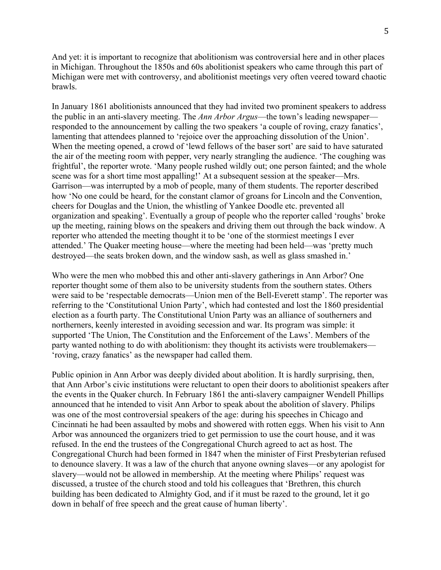And yet: it is important to recognize that abolitionism was controversial here and in other places in Michigan. Throughout the 1850s and 60s abolitionist speakers who came through this part of Michigan were met with controversy, and abolitionist meetings very often veered toward chaotic brawls.

In January 1861 abolitionists announced that they had invited two prominent speakers to address the public in an anti-slavery meeting. The *Ann Arbor Argus*—the town's leading newspaper responded to the announcement by calling the two speakers 'a couple of roving, crazy fanatics', lamenting that attendees planned to 'rejoice over the approaching dissolution of the Union'. When the meeting opened, a crowd of 'lewd fellows of the baser sort' are said to have saturated the air of the meeting room with pepper, very nearly strangling the audience. 'The coughing was frightful', the reporter wrote. 'Many people rushed wildly out; one person fainted; and the whole scene was for a short time most appalling!' At a subsequent session at the speaker—Mrs. Garrison—was interrupted by a mob of people, many of them students. The reporter described how 'No one could be heard, for the constant clamor of groans for Lincoln and the Convention, cheers for Douglas and the Union, the whistling of Yankee Doodle etc. prevented all organization and speaking'. Eventually a group of people who the reporter called 'roughs' broke up the meeting, raining blows on the speakers and driving them out through the back window. A reporter who attended the meeting thought it to be 'one of the stormiest meetings I ever attended.' The Quaker meeting house—where the meeting had been held—was 'pretty much destroyed—the seats broken down, and the window sash, as well as glass smashed in.'

Who were the men who mobbed this and other anti-slavery gatherings in Ann Arbor? One reporter thought some of them also to be university students from the southern states. Others were said to be 'respectable democrats—Union men of the Bell-Everett stamp'. The reporter was referring to the 'Constitutional Union Party', which had contested and lost the 1860 presidential election as a fourth party. The Constitutional Union Party was an alliance of southerners and northerners, keenly interested in avoiding secession and war. Its program was simple: it supported 'The Union, The Constitution and the Enforcement of the Laws'. Members of the party wanted nothing to do with abolitionism: they thought its activists were troublemakers— 'roving, crazy fanatics' as the newspaper had called them.

Public opinion in Ann Arbor was deeply divided about abolition. It is hardly surprising, then, that Ann Arbor's civic institutions were reluctant to open their doors to abolitionist speakers after the events in the Quaker church. In February 1861 the anti-slavery campaigner Wendell Phillips announced that he intended to visit Ann Arbor to speak about the abolition of slavery. Philips was one of the most controversial speakers of the age: during his speeches in Chicago and Cincinnati he had been assaulted by mobs and showered with rotten eggs. When his visit to Ann Arbor was announced the organizers tried to get permission to use the court house, and it was refused. In the end the trustees of the Congregational Church agreed to act as host. The Congregational Church had been formed in 1847 when the minister of First Presbyterian refused to denounce slavery. It was a law of the church that anyone owning slaves—or any apologist for slavery—would not be allowed in membership. At the meeting where Philips' request was discussed, a trustee of the church stood and told his colleagues that 'Brethren, this church building has been dedicated to Almighty God, and if it must be razed to the ground, let it go down in behalf of free speech and the great cause of human liberty'.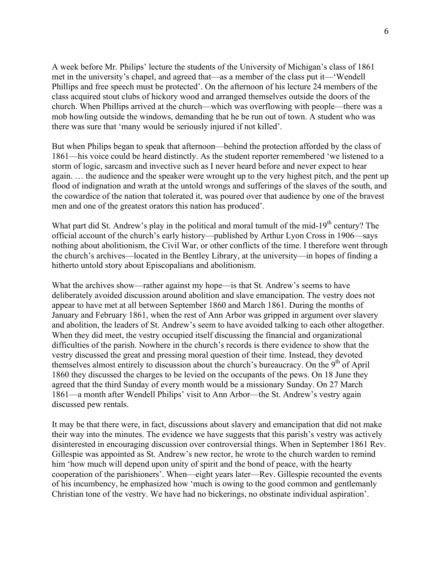A week before Mr. Philips' lecture the students of the University of Michigan's class of 1861 met in the university's chapel, and agreed that—as a member of the class put it—'Wendell Phillips and free speech must be protected'. On the afternoon of his lecture 24 members of the class acquired stout clubs of hickory wood and arranged themselves outside the doors of the church. When Phillips arrived at the church—which was overflowing with people—there was a mob howling outside the windows, demanding that he be run out of town. A student who was there was sure that 'many would be seriously injured if not killed'.

But when Philips began to speak that afternoon—behind the protection afforded by the class of 1861—his voice could be heard distinctly. As the student reporter remembered 'we listened to a storm of logic, sarcasm and invective such as I never heard before and never expect to hear again. … the audience and the speaker were wrought up to the very highest pitch, and the pent up flood of indignation and wrath at the untold wrongs and sufferings of the slaves of the south, and the cowardice of the nation that tolerated it, was poured over that audience by one of the bravest men and one of the greatest orators this nation has produced'.

What part did St. Andrew's play in the political and moral tumult of the mid-19<sup>th</sup> century? The official account of the church's early history—published by Arthur Lyon Cross in 1906—says nothing about abolitionism, the Civil War, or other conflicts of the time. I therefore went through the church's archives—located in the Bentley Library, at the university—in hopes of finding a hitherto untold story about Episcopalians and abolitionism.

What the archives show—rather against my hope—is that St. Andrew's seems to have deliberately avoided discussion around abolition and slave emancipation. The vestry does not appear to have met at all between September 1860 and March 1861. During the months of January and February 1861, when the rest of Ann Arbor was gripped in argument over slavery and abolition, the leaders of St. Andrew's seem to have avoided talking to each other altogether. When they did meet, the vestry occupied itself discussing the financial and organizational difficulties of the parish. Nowhere in the church's records is there evidence to show that the vestry discussed the great and pressing moral question of their time. Instead, they devoted themselves almost entirely to discussion about the church's bureaucracy. On the  $9<sup>th</sup>$  of April 1860 they discussed the charges to be levied on the occupants of the pews. On 18 June they agreed that the third Sunday of every month would be a missionary Sunday. On 27 March 1861—a month after Wendell Philips' visit to Ann Arbor—the St. Andrew's vestry again discussed pew rentals.

It may be that there were, in fact, discussions about slavery and emancipation that did not make their way into the minutes. The evidence we have suggests that this parish's vestry was actively disinterested in encouraging discussion over controversial things. When in September 1861 Rev. Gillespie was appointed as St. Andrew's new rector, he wrote to the church warden to remind him 'how much will depend upon unity of spirit and the bond of peace, with the hearty cooperation of the parishioners'. When—eight years later—Rev. Gillespie recounted the events of his incumbency, he emphasized how 'much is owing to the good common and gentlemanly Christian tone of the vestry. We have had no bickerings, no obstinate individual aspiration'.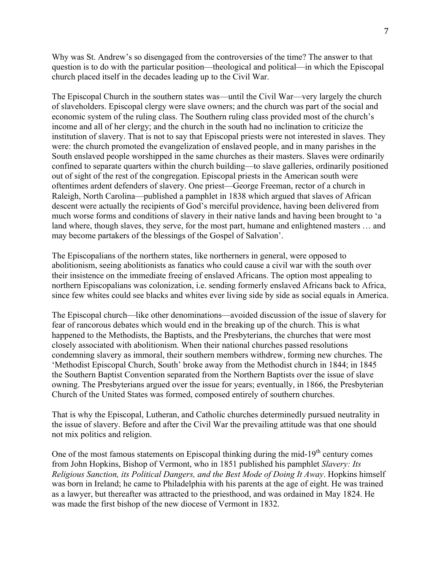Why was St. Andrew's so disengaged from the controversies of the time? The answer to that question is to do with the particular position—theological and political—in which the Episcopal church placed itself in the decades leading up to the Civil War.

The Episcopal Church in the southern states was—until the Civil War—very largely the church of slaveholders. Episcopal clergy were slave owners; and the church was part of the social and economic system of the ruling class. The Southern ruling class provided most of the church's income and all of her clergy; and the church in the south had no inclination to criticize the institution of slavery. That is not to say that Episcopal priests were not interested in slaves. They were: the church promoted the evangelization of enslaved people, and in many parishes in the South enslaved people worshipped in the same churches as their masters. Slaves were ordinarily confined to separate quarters within the church building—to slave galleries, ordinarily positioned out of sight of the rest of the congregation. Episcopal priests in the American south were oftentimes ardent defenders of slavery. One priest—George Freeman, rector of a church in Raleigh, North Carolina—published a pamphlet in 1838 which argued that slaves of African descent were actually the recipients of God's merciful providence, having been delivered from much worse forms and conditions of slavery in their native lands and having been brought to 'a land where, though slaves, they serve, for the most part, humane and enlightened masters … and may become partakers of the blessings of the Gospel of Salvation'.

The Episcopalians of the northern states, like northerners in general, were opposed to abolitionism, seeing abolitionists as fanatics who could cause a civil war with the south over their insistence on the immediate freeing of enslaved Africans. The option most appealing to northern Episcopalians was colonization, i.e. sending formerly enslaved Africans back to Africa, since few whites could see blacks and whites ever living side by side as social equals in America.

The Episcopal church—like other denominations—avoided discussion of the issue of slavery for fear of rancorous debates which would end in the breaking up of the church. This is what happened to the Methodists, the Baptists, and the Presbyterians, the churches that were most closely associated with abolitionism. When their national churches passed resolutions condemning slavery as immoral, their southern members withdrew, forming new churches. The 'Methodist Episcopal Church, South' broke away from the Methodist church in 1844; in 1845 the Southern Baptist Convention separated from the Northern Baptists over the issue of slave owning. The Presbyterians argued over the issue for years; eventually, in 1866, the Presbyterian Church of the United States was formed, composed entirely of southern churches.

That is why the Episcopal, Lutheran, and Catholic churches determinedly pursued neutrality in the issue of slavery. Before and after the Civil War the prevailing attitude was that one should not mix politics and religion.

One of the most famous statements on Episcopal thinking during the mid-19<sup>th</sup> century comes from John Hopkins, Bishop of Vermont, who in 1851 published his pamphlet *Slavery: Its Religious Sanction, its Political Dangers, and the Best Mode of Doing It Away*. Hopkins himself was born in Ireland; he came to Philadelphia with his parents at the age of eight. He was trained as a lawyer, but thereafter was attracted to the priesthood, and was ordained in May 1824. He was made the first bishop of the new diocese of Vermont in 1832.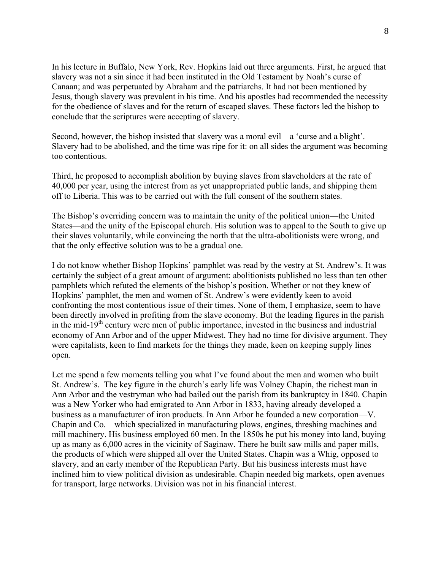In his lecture in Buffalo, New York, Rev. Hopkins laid out three arguments. First, he argued that slavery was not a sin since it had been instituted in the Old Testament by Noah's curse of Canaan; and was perpetuated by Abraham and the patriarchs. It had not been mentioned by Jesus, though slavery was prevalent in his time. And his apostles had recommended the necessity for the obedience of slaves and for the return of escaped slaves. These factors led the bishop to conclude that the scriptures were accepting of slavery.

Second, however, the bishop insisted that slavery was a moral evil—a 'curse and a blight'. Slavery had to be abolished, and the time was ripe for it: on all sides the argument was becoming too contentious.

Third, he proposed to accomplish abolition by buying slaves from slaveholders at the rate of 40,000 per year, using the interest from as yet unappropriated public lands, and shipping them off to Liberia. This was to be carried out with the full consent of the southern states.

The Bishop's overriding concern was to maintain the unity of the political union—the United States—and the unity of the Episcopal church. His solution was to appeal to the South to give up their slaves voluntarily, while convincing the north that the ultra-abolitionists were wrong, and that the only effective solution was to be a gradual one.

I do not know whether Bishop Hopkins' pamphlet was read by the vestry at St. Andrew's. It was certainly the subject of a great amount of argument: abolitionists published no less than ten other pamphlets which refuted the elements of the bishop's position. Whether or not they knew of Hopkins' pamphlet, the men and women of St. Andrew's were evidently keen to avoid confronting the most contentious issue of their times. None of them, I emphasize, seem to have been directly involved in profiting from the slave economy. But the leading figures in the parish in the mid-19<sup>th</sup> century were men of public importance, invested in the business and industrial economy of Ann Arbor and of the upper Midwest. They had no time for divisive argument. They were capitalists, keen to find markets for the things they made, keen on keeping supply lines open.

Let me spend a few moments telling you what I've found about the men and women who built St. Andrew's. The key figure in the church's early life was Volney Chapin, the richest man in Ann Arbor and the vestryman who had bailed out the parish from its bankruptcy in 1840. Chapin was a New Yorker who had emigrated to Ann Arbor in 1833, having already developed a business as a manufacturer of iron products. In Ann Arbor he founded a new corporation—V. Chapin and Co.—which specialized in manufacturing plows, engines, threshing machines and mill machinery. His business employed 60 men. In the 1850s he put his money into land, buying up as many as 6,000 acres in the vicinity of Saginaw. There he built saw mills and paper mills, the products of which were shipped all over the United States. Chapin was a Whig, opposed to slavery, and an early member of the Republican Party. But his business interests must have inclined him to view political division as undesirable. Chapin needed big markets, open avenues for transport, large networks. Division was not in his financial interest.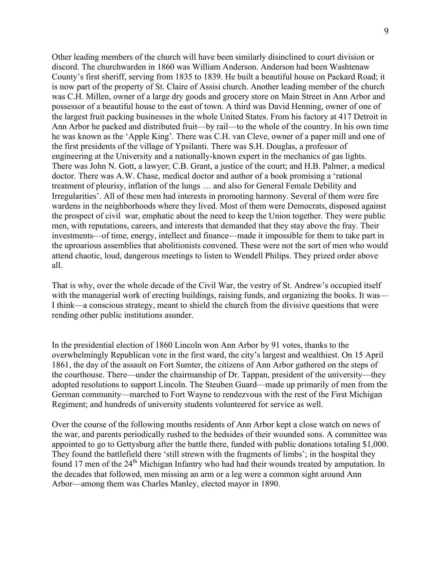Other leading members of the church will have been similarly disinclined to court division or discord. The churchwarden in 1860 was William Anderson. Anderson had been Washtenaw County's first sheriff, serving from 1835 to 1839. He built a beautiful house on Packard Road; it is now part of the property of St. Claire of Assisi church. Another leading member of the church was C.H. Millen, owner of a large dry goods and grocery store on Main Street in Ann Arbor and possessor of a beautiful house to the east of town. A third was David Henning, owner of one of the largest fruit packing businesses in the whole United States. From his factory at 417 Detroit in Ann Arbor he packed and distributed fruit—by rail—to the whole of the country. In his own time he was known as the 'Apple King'. There was C.H. van Cleve, owner of a paper mill and one of the first presidents of the village of Ypsilanti. There was S.H. Douglas, a professor of engineering at the University and a nationally-known expert in the mechanics of gas lights. There was John N. Gott, a lawyer; C.B. Grant, a justice of the court; and H.B. Palmer, a medical doctor. There was A.W. Chase, medical doctor and author of a book promising a 'rational treatment of pleurisy, inflation of the lungs … and also for General Female Debility and Irregularities'. All of these men had interests in promoting harmony. Several of them were fire wardens in the neighborhoods where they lived. Most of them were Democrats, disposed against the prospect of civil war, emphatic about the need to keep the Union together. They were public men, with reputations, careers, and interests that demanded that they stay above the fray. Their investments—of time, energy, intellect and finance—made it impossible for them to take part in the uproarious assemblies that abolitionists convened. These were not the sort of men who would attend chaotic, loud, dangerous meetings to listen to Wendell Philips. They prized order above all.

That is why, over the whole decade of the Civil War, the vestry of St. Andrew's occupied itself with the managerial work of erecting buildings, raising funds, and organizing the books. It was— I think—a conscious strategy, meant to shield the church from the divisive questions that were rending other public institutions asunder.

In the presidential election of 1860 Lincoln won Ann Arbor by 91 votes, thanks to the overwhelmingly Republican vote in the first ward, the city's largest and wealthiest. On 15 April 1861, the day of the assault on Fort Sumter, the citizens of Ann Arbor gathered on the steps of the courthouse. There—under the chairmanship of Dr. Tappan, president of the university—they adopted resolutions to support Lincoln. The Steuben Guard—made up primarily of men from the German community—marched to Fort Wayne to rendezvous with the rest of the First Michigan Regiment; and hundreds of university students volunteered for service as well.

Over the course of the following months residents of Ann Arbor kept a close watch on news of the war, and parents periodically rushed to the bedsides of their wounded sons. A committee was appointed to go to Gettysburg after the battle there, funded with public donations totaling \$1,000. They found the battlefield there 'still strewn with the fragments of limbs'; in the hospital they found 17 men of the 24<sup>th</sup> Michigan Infantry who had had their wounds treated by amputation. In the decades that followed, men missing an arm or a leg were a common sight around Ann Arbor—among them was Charles Manley, elected mayor in 1890.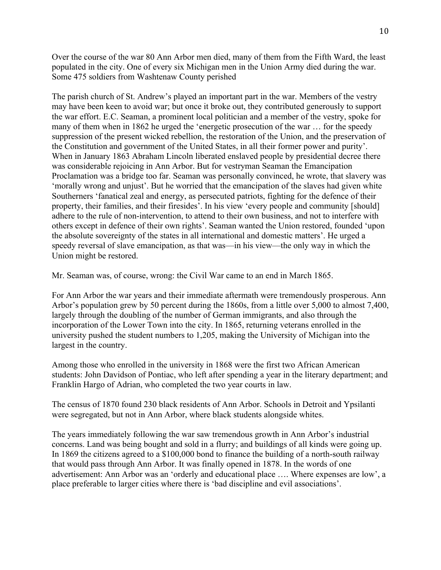Over the course of the war 80 Ann Arbor men died, many of them from the Fifth Ward, the least populated in the city. One of every six Michigan men in the Union Army died during the war. Some 475 soldiers from Washtenaw County perished

The parish church of St. Andrew's played an important part in the war. Members of the vestry may have been keen to avoid war; but once it broke out, they contributed generously to support the war effort. E.C. Seaman, a prominent local politician and a member of the vestry, spoke for many of them when in 1862 he urged the 'energetic prosecution of the war … for the speedy suppression of the present wicked rebellion, the restoration of the Union, and the preservation of the Constitution and government of the United States, in all their former power and purity'. When in January 1863 Abraham Lincoln liberated enslaved people by presidential decree there was considerable rejoicing in Ann Arbor. But for vestryman Seaman the Emancipation Proclamation was a bridge too far. Seaman was personally convinced, he wrote, that slavery was 'morally wrong and unjust'. But he worried that the emancipation of the slaves had given white Southerners 'fanatical zeal and energy, as persecuted patriots, fighting for the defence of their property, their families, and their firesides'. In his view 'every people and community [should] adhere to the rule of non-intervention, to attend to their own business, and not to interfere with others except in defence of their own rights'. Seaman wanted the Union restored, founded 'upon the absolute sovereignty of the states in all international and domestic matters'. He urged a speedy reversal of slave emancipation, as that was—in his view—the only way in which the Union might be restored.

Mr. Seaman was, of course, wrong: the Civil War came to an end in March 1865.

For Ann Arbor the war years and their immediate aftermath were tremendously prosperous. Ann Arbor's population grew by 50 percent during the 1860s, from a little over 5,000 to almost 7,400, largely through the doubling of the number of German immigrants, and also through the incorporation of the Lower Town into the city. In 1865, returning veterans enrolled in the university pushed the student numbers to 1,205, making the University of Michigan into the largest in the country.

Among those who enrolled in the university in 1868 were the first two African American students: John Davidson of Pontiac, who left after spending a year in the literary department; and Franklin Hargo of Adrian, who completed the two year courts in law.

The census of 1870 found 230 black residents of Ann Arbor. Schools in Detroit and Ypsilanti were segregated, but not in Ann Arbor, where black students alongside whites.

The years immediately following the war saw tremendous growth in Ann Arbor's industrial concerns. Land was being bought and sold in a flurry; and buildings of all kinds were going up. In 1869 the citizens agreed to a \$100,000 bond to finance the building of a north-south railway that would pass through Ann Arbor. It was finally opened in 1878. In the words of one advertisement: Ann Arbor was an 'orderly and educational place …. Where expenses are low', a place preferable to larger cities where there is 'bad discipline and evil associations'.